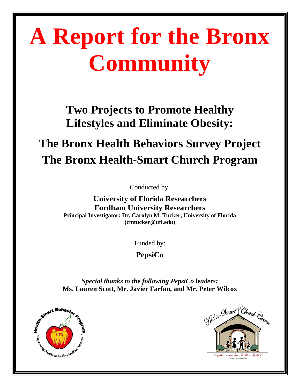# **A Report for the Bronx Community**

**Two Projects to Promote Healthy Lifestyles and Eliminate Obesity:**

## **The Bronx Health Behaviors Survey Project The Bronx Health-Smart Church Program**

Conducted by:

**University of Florida Researchers Fordham University Researchers Principal Investigator: Dr. Carolyn M. Tucker, University of Florida (cmtucker@ufl.edu)**

Funded by:

**PepsiCo**

*Special thanks to the following PepsiCo leaders:* **Ms. Lauren Scott, Mr. Javier Farfan, and Mr. Peter Wilcox**



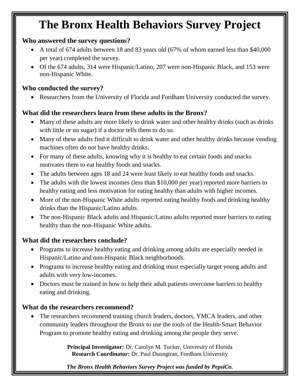### **The Bronx Health Behaviors Survey Project**

### **Who answered the survey questions?**

- A total of 674 adults between 18 and 83 years old (67% of whom earned less than \$40,000 per year) completed the survey.
- Of the 674 adults, 314 were Hispanic/Latino, 207 were non-Hispanic Black, and 153 were non-Hispanic White.

### **Who conducted the survey?**

Researchers from the University of Florida and Fordham University conducted the survey.

### **What did the researchers learn from these adults in the Bronx?**

- Many of these adults are more likely to drink water and other healthy drinks (such as drinks with little or no sugar) if a doctor tells them to do so.
- Many of these adults find it difficult to drink water and other healthy drinks because vending machines often do not have healthy drinks.
- For many of these adults, knowing why it is healthy to eat certain foods and snacks motivates them to eat healthy foods and snacks.
- The adults between ages 18 and 24 were least likely to eat healthy foods and snacks.
- The adults with the lowest incomes (less than \$10,000 per year) reported more barriers to healthy eating and less motivation for eating healthy than adults with higher incomes.
- More of the non-Hispanic White adults reported eating healthy foods and drinking healthy drinks than the Hispanic/Latino adults.
- The non-Hispanic Black adults and Hispanic/Latino adults reported more barriers to eating healthy than the non-Hispanic White adults.

### **What did the researchers conclude?**

- Programs to increase healthy eating and drinking among adults are especially needed in Hispanic/Latino and non-Hispanic Black neighborhoods.
- Programs to increase healthy eating and drinking must especially target young adults and adults with very low-incomes.
- Doctors must be trained in how to help their adult patients overcome barriers to healthy eating and drinking.

### **What do the researchers recommend?**

 The researchers recommend training church leaders, doctors, YMCA leaders, and other community leaders throughout the Bronx to use the tools of the Health-Smart Behavior Program to promote healthy eating and drinking among the people they serve.

> **Principal Investigator:** Dr. Carolyn M. Tucker, University of Florida **Research Coordinator:** Dr. Paul Duongtran, Fordham University

> *The Bronx Health Behaviors Survey Project was funded by PepsiCo.*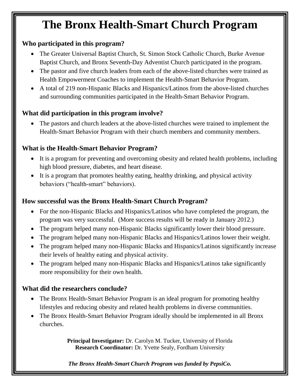### **The Bronx Health-Smart Church Program**

### **Who participated in this program?**

- The Greater Universal Baptist Church, St. Simon Stock Catholic Church, Burke Avenue Baptist Church, and Bronx Seventh-Day Adventist Church participated in the program.
- The pastor and five church leaders from each of the above-listed churches were trained as Health Empowerment Coaches to implement the Health-Smart Behavior Program.
- A total of 219 non-Hispanic Blacks and Hispanics/Latinos from the above-listed churches and surrounding communities participated in the Health-Smart Behavior Program.

### **What did participation in this program involve?**

 The pastors and church leaders at the above-listed churches were trained to implement the Health-Smart Behavior Program with their church members and community members.

### **What is the Health-Smart Behavior Program?**

- It is a program for preventing and overcoming obesity and related health problems, including high blood pressure, diabetes, and heart disease.
- It is a program that promotes healthy eating, healthy drinking, and physical activity behaviors ("health-smart" behaviors).

### **How successful was the Bronx Health-Smart Church Program?**

- For the non-Hispanic Blacks and Hispanics/Latinos who have completed the program, the program was very successful. (More success results will be ready in January 2012.)
- The program helped many non-Hispanic Blacks significantly lower their blood pressure.
- The program helped many non-Hispanic Blacks and Hispanics/Latinos lower their weight.
- The program helped many non-Hispanic Blacks and Hispanics/Latinos significantly increase their levels of healthy eating and physical activity.
- The program helped many non-Hispanic Blacks and Hispanics/Latinos take significantly more responsibility for their own health.

### **What did the researchers conclude?**

- The Bronx Health-Smart Behavior Program is an ideal program for promoting healthy lifestyles and reducing obesity and related health problems in diverse communities.
- The Bronx Health-Smart Behavior Program ideally should be implemented in all Bronx churches.

**Principal Investigator:** Dr. Carolyn M. Tucker, University of Florida **Research Coordinator:** Dr. Yvette Sealy, Fordham University

*The Bronx Health-Smart Church Program was funded by PepsiCo.*